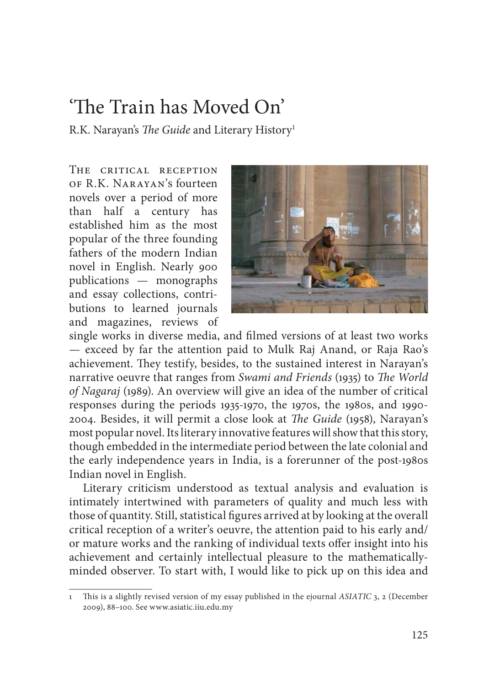## 'The Train has Moved On'

R.K. Narayan's *The Guide* and Literary History<sup>1</sup>

THE CRITICAL RECEPTION of R.K. Narayan's fourteen novels over a period of more than half a century has established him as the most popular of the three founding fathers of the modern Indian novel in English. Nearly 900 publications — monographs and essay collections, contributions to learned journals and magazines, reviews of



single works in diverse media, and filmed versions of at least two works — exceed by far the attention paid to Mulk Raj Anand, or Raja Rao's achievement. They testify, besides, to the sustained interest in Narayan's narrative oeuvre that ranges from *Swami and Friends* (1935) to *The World of Nagaraj* (1989). An overview will give an idea of the number of critical responses during the periods 1935-1970, the 1970s, the 1980s, and 1990- 2004. Besides, it will permit a close look at *Th e Guide* (1958), Narayan's most popular novel. Its literary innovative features will show that this story, though embedded in the intermediate period between the late colonial and the early independence years in India, is a forerunner of the post-1980s Indian novel in English.

Literary criticism understood as textual analysis and evaluation is intimately intertwined with parameters of quality and much less with those of quantity. Still, statistical figures arrived at by looking at the overall critical reception of a writer's oeuvre, the attention paid to his early and/ or mature works and the ranking of individual texts offer insight into his achievement and certainly intellectual pleasure to the mathematicallyminded observer. To start with, I would like to pick up on this idea and

<sup>1</sup> Th is is a slightly revised version of my essay published in the ejournal *ASIATIC* 3, 2 (December 2009), 88–100. See www.asiatic.iiu.edu.my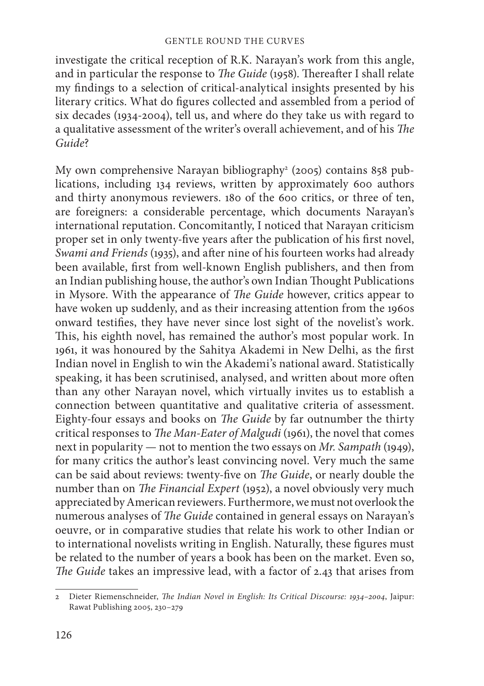investigate the critical reception of R.K. Narayan's work from this angle, and in particular the response to *The Guide* (1958). Thereafter I shall relate my findings to a selection of critical-analytical insights presented by his literary critics. What do figures collected and assembled from a period of six decades (1934-2004), tell us, and where do they take us with regard to a qualitative assessment of the writer's overall achievement, and of his *The Guide*?

My own comprehensive Narayan bibliography<sup>2</sup> (2005) contains 858 publications, including 134 reviews, written by approximately 600 authors and thirty anonymous reviewers. 180 of the 600 critics, or three of ten, are foreigners: a considerable percentage, which documents Narayan's international reputation. Concomitantly, I noticed that Narayan criticism proper set in only twenty-five years after the publication of his first novel, *Swami and Friends* (1935), and after nine of his fourteen works had already been available, first from well-known English publishers, and then from an Indian publishing house, the author's own Indian Thought Publications in Mysore. With the appearance of *The Guide* however, critics appear to have woken up suddenly, and as their increasing attention from the 1960s onward testifies, they have never since lost sight of the novelist's work. This, his eighth novel, has remained the author's most popular work. In 1961, it was honoured by the Sahitya Akademi in New Delhi, as the first Indian novel in English to win the Akademi's national award. Statistically speaking, it has been scrutinised, analysed, and written about more often than any other Narayan novel, which virtually invites us to establish a connection between quantitative and qualitative criteria of assessment. Eighty-four essays and books on *The Guide* by far outnumber the thirty critical responses to *The Man-Eater of Malgudi* (1961), the novel that comes next in popularity — not to mention the two essays on *Mr. Sampath* (1949), for many critics the author's least convincing novel. Very much the same can be said about reviews: twenty-five on *The Guide*, or nearly double the number than on *The Financial Expert* (1952), a novel obviously very much appreciated by American reviewers. Furthermore, we must not overlook the numerous analyses of *The Guide* contained in general essays on Narayan's oeuvre, or in comparative studies that relate his work to other Indian or to international novelists writing in English. Naturally, these figures must be related to the number of years a book has been on the market. Even so, The Guide takes an impressive lead, with a factor of 2.43 that arises from

<sup>2</sup> Dieter Riemenschneider, *The Indian Novel in English: Its Critical Discourse: 1934-2004*, Jaipur: Rawat Publishing 2005, 230–279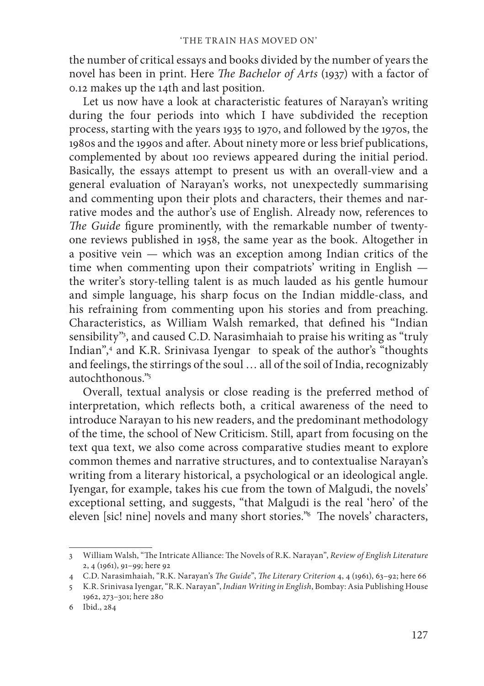the number of critical essays and books divided by the number of years the novel has been in print. Here *The Bachelor of Arts* (1937) with a factor of 0.12 makes up the 14th and last position.

Let us now have a look at characteristic features of Narayan's writing during the four periods into which I have subdivided the reception process, starting with the years 1935 to 1970, and followed by the 1970s, the 1980s and the 1990s and after. About ninety more or less brief publications, complemented by about 100 reviews appeared during the initial period. Basically, the essays attempt to present us with an overall-view and a general evaluation of Narayan's works, not unexpectedly summarising and commenting upon their plots and characters, their themes and narrative modes and the author's use of English. Already now, references to *The Guide* figure prominently, with the remarkable number of twentyone reviews published in 1958, the same year as the book. Altogether in a positive vein — which was an exception among Indian critics of the time when commenting upon their compatriots' writing in English the writer's story-telling talent is as much lauded as his gentle humour and simple language, his sharp focus on the Indian middle-class, and his refraining from commenting upon his stories and from preaching. Characteristics, as William Walsh remarked, that defined his "Indian sensibility"<sup>3</sup>, and caused C.D. Narasimhaiah to praise his writing as "truly Indian",4 and K.R. Srinivasa Iyengar to speak of the author's "thoughts and feelings, the stirrings of the soul … all of the soil of India, recognizably autochthonous."5

Overall, textual analysis or close reading is the preferred method of interpretation, which reflects both, a critical awareness of the need to introduce Narayan to his new readers, and the predominant methodology of the time, the school of New Criticism. Still, apart from focusing on the text qua text, we also come across comparative studies meant to explore common themes and narrative structures, and to contextualise Narayan's writing from a literary historical, a psychological or an ideological angle. Iyengar, for example, takes his cue from the town of Malgudi, the novels' exceptional setting, and suggests, "that Malgudi is the real 'hero' of the eleven [sic! nine] novels and many short stories."<sup>6</sup> The novels' characters,

<sup>3</sup> William Walsh, "The Intricate Alliance: The Novels of R.K. Narayan", *Review of English Literature* 2, 4 (1961), 91–99; here 92

<sup>4</sup> C.D. Narasimhaiah, "R.K. Narayan's *The Guide"*, *The Literary Criterion* 4, 4 (1961), 63-92; here 66

<sup>5</sup> K.R. Srinivasa Iyengar, "R.K. Narayan", *Indian Writing in English*, Bombay: Asia Publishing House 1962, 273–301; here 280

<sup>6</sup> Ibid., 284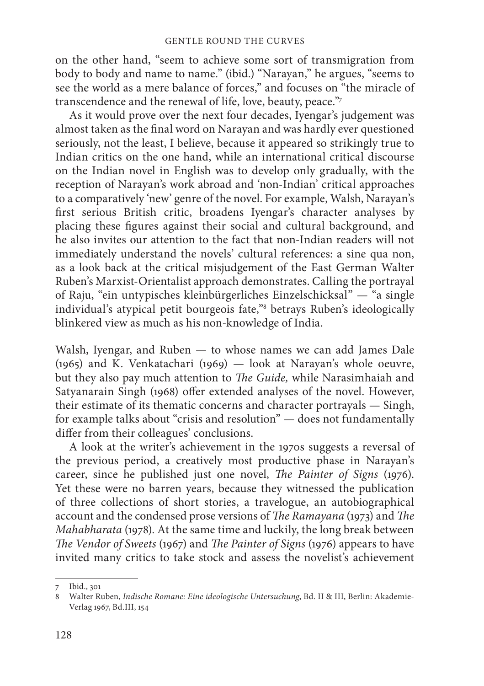on the other hand, "seem to achieve some sort of transmigration from body to body and name to name." (ibid.) "Narayan," he argues, "seems to see the world as a mere balance of forces," and focuses on "the miracle of transcendence and the renewal of life, love, beauty, peace."7

As it would prove over the next four decades, Iyengar's judgement was almost taken as the final word on Narayan and was hardly ever questioned seriously, not the least, I believe, because it appeared so strikingly true to Indian critics on the one hand, while an international critical discourse on the Indian novel in English was to develop only gradually, with the reception of Narayan's work abroad and 'non-Indian' critical approaches to a comparatively 'new' genre of the novel. For example, Walsh, Narayan's first serious British critic, broadens Iyengar's character analyses by placing these figures against their social and cultural background, and he also invites our attention to the fact that non-Indian readers will not immediately understand the novels' cultural references: a sine qua non, as a look back at the critical misjudgement of the East German Walter Ruben's Marxist-Orientalist approach demonstrates. Calling the portrayal of Raju, "ein untypisches kleinbürgerliches Einzelschicksal" — "a single individual's atypical petit bourgeois fate,"8 betrays Ruben's ideologically blinkered view as much as his non-knowledge of India.

Walsh, Iyengar, and Ruben — to whose names we can add James Dale (1965) and K. Venkatachari (1969) — look at Narayan's whole oeuvre, but they also pay much attention to *The Guide*, while Narasimhaiah and Satyanarain Singh (1968) offer extended analyses of the novel. However, their estimate of its thematic concerns and character portrayals — Singh, for example talks about "crisis and resolution" — does not fundamentally differ from their colleagues' conclusions.

A look at the writer's achievement in the 1970s suggests a reversal of the previous period, a creatively most productive phase in Narayan's career, since he published just one novel, *The Painter of Signs* (1976). Yet these were no barren years, because they witnessed the publication of three collections of short stories, a travelogue, an autobiographical account and the condensed prose versions of *The Ramayana* (1973) and *The Mahabharata* (1978). At the same time and luckily, the long break between *The Vendor of Sweets* (1967) and *The Painter of Signs* (1976) appears to have invited many critics to take stock and assess the novelist's achievement

<sup>7</sup> Ibid., 301

<sup>8</sup> Walter Ruben, *Indische Romane: Eine ideologische Untersuchung*, Bd. II & III, Berlin: Akademie-Verlag 1967, Bd.III, 154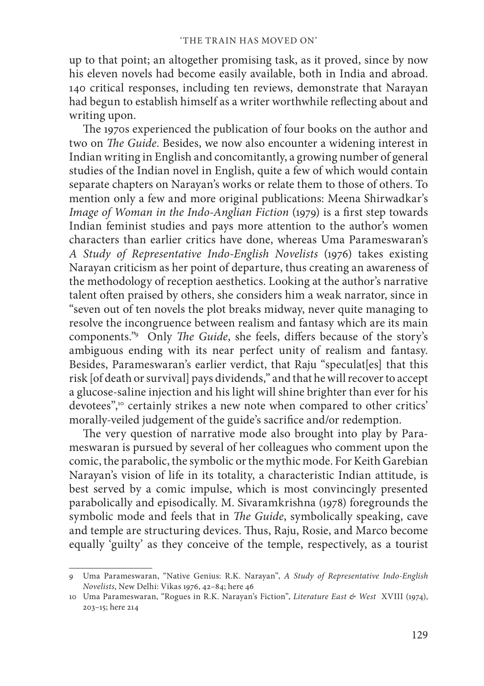up to that point; an altogether promising task, as it proved, since by now his eleven novels had become easily available, both in India and abroad. 140 critical responses, including ten reviews, demonstrate that Narayan had begun to establish himself as a writer worthwhile reflecting about and writing upon.

The 1970s experienced the publication of four books on the author and two on *The Guide*. Besides, we now also encounter a widening interest in Indian writing in English and concomitantly, a growing number of general studies of the Indian novel in English, quite a few of which would contain separate chapters on Narayan's works or relate them to those of others. To mention only a few and more original publications: Meena Shirwadkar's *Image of Woman in the Indo-Anglian Fiction* (1979) is a first step towards Indian feminist studies and pays more attention to the author's women characters than earlier critics have done, whereas Uma Parameswaran's *A Study of Representative Indo-English Novelists* (1976) takes existing Narayan criticism as her point of departure, thus creating an awareness of the methodology of reception aesthetics. Looking at the author's narrative talent often praised by others, she considers him a weak narrator, since in "seven out of ten novels the plot breaks midway, never quite managing to resolve the incongruence between realism and fantasy which are its main components."<sup>9</sup> Only *The Guide*, she feels, differs because of the story's ambiguous ending with its near perfect unity of realism and fantasy. Besides, Parameswaran's earlier verdict, that Raju "speculat[es] that this risk [of death or survival] pays dividends," and that he will recover to accept a glucose-saline injection and his light will shine brighter than ever for his devotees",<sup>10</sup> certainly strikes a new note when compared to other critics' morally-veiled judgement of the guide's sacrifice and/or redemption.

The very question of narrative mode also brought into play by Parameswaran is pursued by several of her colleagues who comment upon the comic, the parabolic, the symbolic or the mythic mode. For Keith Garebian Narayan's vision of life in its totality, a characteristic Indian attitude, is best served by a comic impulse, which is most convincingly presented parabolically and episodically. M. Sivaramkrishna (1978) foregrounds the symbolic mode and feels that in *The Guide*, symbolically speaking, cave and temple are structuring devices. Thus, Raju, Rosie, and Marco become equally 'guilty' as they conceive of the temple, respectively, as a tourist

<sup>9</sup> Uma Parameswaran, "Native Genius: R.K. Narayan", *A Study of Representative Indo-English Novelists*, New Delhi: Vikas 1976, 42–84; here 46

<sup>10</sup> Uma Parameswaran, "Rogues in R.K. Narayan's Fiction", *Literature East & West* XVIII (1974), 203–15; here 214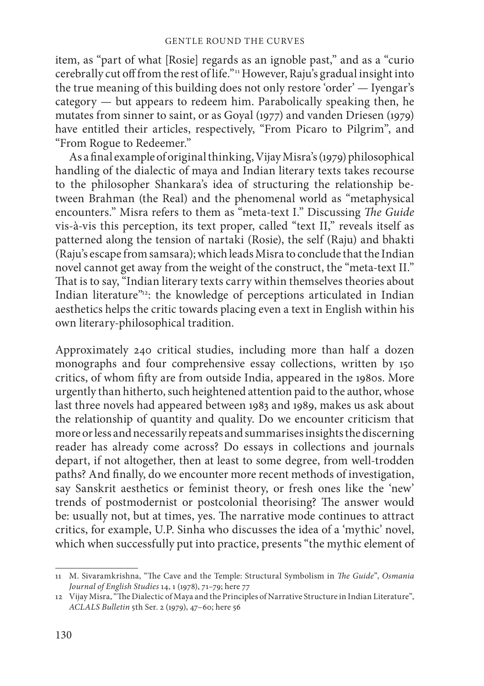item, as "part of what [Rosie] regards as an ignoble past," and as a "curio cerebrally cut off from the rest of life."<sup>11</sup> However, Raju's gradual insight into the true meaning of this building does not only restore 'order' — Iyengar's category  $-$  but appears to redeem him. Parabolically speaking then, he mutates from sinner to saint, or as Goyal (1977) and vanden Driesen (1979) have entitled their articles, respectively, "From Picaro to Pilgrim", and "From Rogue to Redeemer."

As a final example of original thinking, Vijay Misra's (1979) philosophical handling of the dialectic of maya and Indian literary texts takes recourse to the philosopher Shankara's idea of structuring the relationship between Brahman (the Real) and the phenomenal world as "metaphysical encounters." Misra refers to them as "meta-text I." Discussing *The Guide* vis-à-vis this perception, its text proper, called "text II," reveals itself as patterned along the tension of nartaki (Rosie), the self (Raju) and bhakti (Raju's escape from samsara); which leads Misra to conclude that the Indian novel cannot get away from the weight of the construct, the "meta-text II." That is to say, "Indian literary texts carry within themselves theories about Indian literature"<sup>12</sup>: the knowledge of perceptions articulated in Indian aesthetics helps the critic towards placing even a text in English within his own literary-philosophical tradition.

Approximately 240 critical studies, including more than half a dozen monographs and four comprehensive essay collections, written by 150 critics, of whom fifty are from outside India, appeared in the 1980s. More urgently than hitherto, such heightened attention paid to the author, whose last three novels had appeared between 1983 and 1989, makes us ask about the relationship of quantity and quality. Do we encounter criticism that more or less and necessarily repeats and summarises insights the discerning reader has already come across? Do essays in collections and journals depart, if not altogether, then at least to some degree, from well-trodden paths? And finally, do we encounter more recent methods of investigation, say Sanskrit aesthetics or feminist theory, or fresh ones like the 'new' trends of postmodernist or postcolonial theorising? The answer would be: usually not, but at times, yes. The narrative mode continues to attract critics, for example, U.P. Sinha who discusses the idea of a 'mythic' novel, which when successfully put into practice, presents "the mythic element of

<sup>11</sup> M. Sivaramkrishna, "The Cave and the Temple: Structural Symbolism in *The Guide"*, Osmania *Journal of English Studies* 14, 1 (1978), 71–79; here 77

<sup>12</sup> Vijay Misra, "The Dialectic of Maya and the Principles of Narrative Structure in Indian Literature", *ACLALS Bulletin* 5th Ser. 2 (1979), 47–60; here 56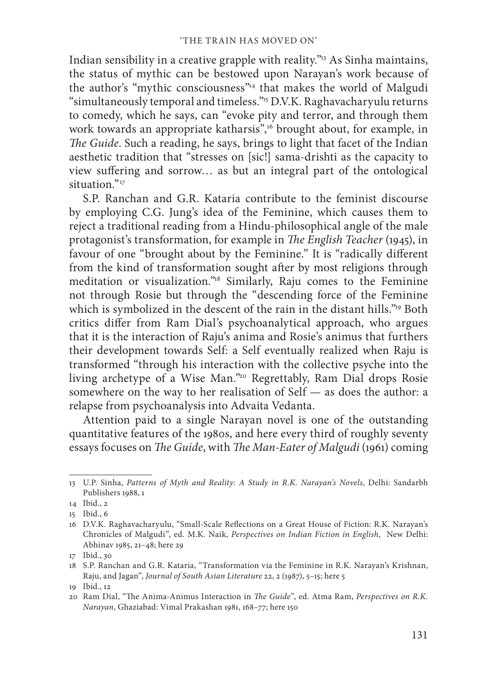Indian sensibility in a creative grapple with reality."<sup>13</sup> As Sinha maintains, the status of mythic can be bestowed upon Narayan's work because of the author's "mythic consciousness"14 that makes the world of Malgudi "simultaneously temporal and timeless."15 D.V.K. Raghavacharyulu returns to comedy, which he says, can "evoke pity and terror, and through them work towards an appropriate katharsis",<sup>16</sup> brought about, for example, in *The Guide*. Such a reading, he says, brings to light that facet of the Indian aesthetic tradition that "stresses on [sic!] sama-drishti as the capacity to view suffering and sorrow... as but an integral part of the ontological  $s$ ituation $v_{17}$ 

S.P. Ranchan and G.R. Kataria contribute to the feminist discourse by employing C.G. Jung's idea of the Feminine, which causes them to reject a traditional reading from a Hindu-philosophical angle of the male protagonist's transformation, for example in *The English Teacher* (1945), in favour of one "brought about by the Feminine." It is "radically different from the kind of transformation sought after by most religions through meditation or visualization."18 Similarly, Raju comes to the Feminine not through Rosie but through the "descending force of the Feminine which is symbolized in the descent of the rain in the distant hills."<sup>19</sup> Both critics differ from Ram Dial's psychoanalytical approach, who argues that it is the interaction of Raju's anima and Rosie's animus that furthers their development towards Self: a Self eventually realized when Raju is transformed "through his interaction with the collective psyche into the living archetype of a Wise Man."20 Regrettably, Ram Dial drops Rosie somewhere on the way to her realisation of Self — as does the author: a relapse from psychoanalysis into Advaita Vedanta.

Attention paid to a single Narayan novel is one of the outstanding quantitative features of the 1980s, and here every third of roughly seventy essays focuses on *The Guide*, with *The Man-Eater of Malgudi* (1961) coming

<sup>13</sup> U.P. Sinha, *Patterns of Myth and Reality: A Study in R.K. Narayan's Novels*, Delhi: Sandarbh Publishers 1988, 1

<sup>14</sup> Ibid., 2

<sup>15</sup> Ibid., 6

<sup>16</sup> D.V.K. Raghavacharyulu, "Small-Scale Reflections on a Great House of Fiction: R.K. Narayan's Chronicles of Malgudi", ed. M.K. Naik, *Perspectives on Indian Fiction in English*, New Delhi: Abhinav 1985, 21–48; here 29

<sup>17</sup> Ibid., 30

<sup>18</sup> S.P. Ranchan and G.R. Kataria, "Transformation via the Feminine in R.K. Narayan's Krishnan, Raju, and Jagan", *Journal of South Asian Literature* 22, 2 (1987), 5–15; here 5

<sup>19</sup> Ibid., 12

<sup>20</sup> Ram Dial, "The Anima-Animus Interaction in *The Guide*", ed. Atma Ram, *Perspectives on R.K. Narayan*, Ghaziabad: Vimal Prakashan 1981, 168–77; here 150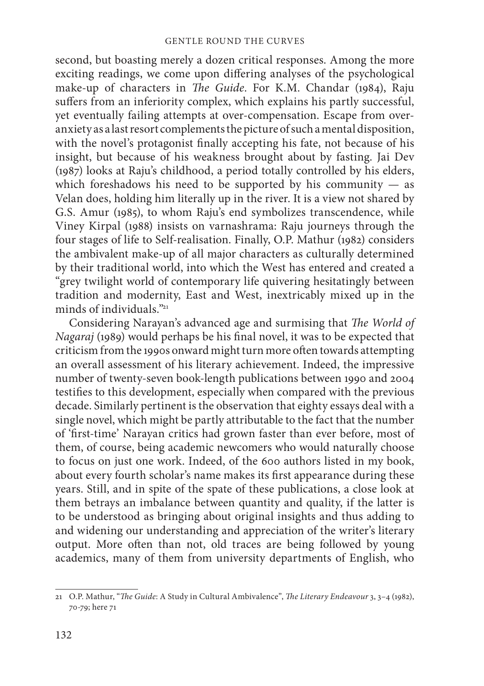second, but boasting merely a dozen critical responses. Among the more exciting readings, we come upon differing analyses of the psychological make-up of characters in *The Guide*. For K.M. Chandar (1984), Raju suffers from an inferiority complex, which explains his partly successful, yet eventually failing attempts at over-compensation. Escape from overanxiety as a last resort complements the picture of such a mental disposition, with the novel's protagonist finally accepting his fate, not because of his insight, but because of his weakness brought about by fasting. Jai Dev (1987) looks at Raju's childhood, a period totally controlled by his elders, which foreshadows his need to be supported by his community  $-$  as Velan does, holding him literally up in the river. It is a view not shared by G.S. Amur (1985), to whom Raju's end symbolizes transcendence, while Viney Kirpal (1988) insists on varnashrama: Raju journeys through the four stages of life to Self-realisation. Finally, O.P. Mathur (1982) considers the ambivalent make-up of all major characters as culturally determined by their traditional world, into which the West has entered and created a "grey twilight world of contemporary life quivering hesitatingly between tradition and modernity, East and West, inextricably mixed up in the minds of individuals $\frac{m_{21}}{21}$ 

Considering Narayan's advanced age and surmising that *The World of Nagaraj* (1989) would perhaps be his final novel, it was to be expected that criticism from the 1990s onward might turn more often towards attempting an overall assessment of his literary achievement. Indeed, the impressive number of twenty-seven book-length publications between 1990 and 2004 testifies to this development, especially when compared with the previous decade. Similarly pertinent is the observation that eighty essays deal with a single novel, which might be partly attributable to the fact that the number of 'first-time' Narayan critics had grown faster than ever before, most of them, of course, being academic newcomers who would naturally choose to focus on just one work. Indeed, of the 600 authors listed in my book, about every fourth scholar's name makes its first appearance during these years. Still, and in spite of the spate of these publications, a close look at them betrays an imbalance between quantity and quality, if the latter is to be understood as bringing about original insights and thus adding to and widening our understanding and appreciation of the writer's literary output. More often than not, old traces are being followed by young academics, many of them from university departments of English, who

<sup>21</sup> O.P. Mathur, "*The Guide*: A Study in Cultural Ambivalence", *The Literary Endeavour* 3, 3-4 (1982), 70-79; here 71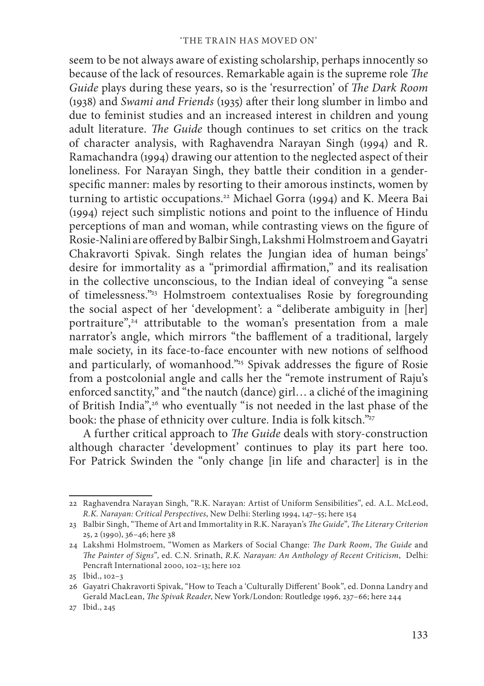seem to be not always aware of existing scholarship, perhaps innocently so because of the lack of resources. Remarkable again is the supreme role *The Guide* plays during these years, so is the 'resurrection' of *The Dark Room* (1938) and *Swami and Friends* (1935) after their long slumber in limbo and due to feminist studies and an increased interest in children and young adult literature. *The Guide* though continues to set critics on the track of character analysis, with Raghavendra Narayan Singh (1994) and R. Ramachandra (1994) drawing our attention to the neglected aspect of their loneliness. For Narayan Singh, they battle their condition in a genderspecific manner: males by resorting to their amorous instincts, women by turning to artistic occupations.<sup>22</sup> Michael Gorra (1994) and K. Meera Bai  $(1994)$  reject such simplistic notions and point to the influence of Hindu perceptions of man and woman, while contrasting views on the figure of Rosie-Nalini are offered by Balbir Singh, Lakshmi Holmstroem and Gayatri Chakravorti Spivak. Singh relates the Jungian idea of human beings' desire for immortality as a "primordial affirmation," and its realisation in the collective unconscious, to the Indian ideal of conveying "a sense of timelessness."23 Holmstroem contextualises Rosie by foregrounding the social aspect of her 'development': a "deliberate ambiguity in [her] portraiture", $24$  attributable to the woman's presentation from a male narrator's angle, which mirrors "the bafflement of a traditional, largely male society, in its face-to-face encounter with new notions of selfhood and particularly, of womanhood."<sup>25</sup> Spivak addresses the figure of Rosie from a postcolonial angle and calls her the "remote instrument of Raju's enforced sanctity," and "the nautch (dance) girl… a cliché of the imagining of British India",<sup>26</sup> who eventually "is not needed in the last phase of the book: the phase of ethnicity over culture. India is folk kitsch."27

A further critical approach to *The Guide* deals with story-construction although character 'development' continues to play its part here too. For Patrick Swinden the "only change [in life and character] is in the

<sup>22</sup> Raghavendra Narayan Singh, "R.K. Narayan: Artist of Uniform Sensibilities", ed. A.L. McLeod, *R.K. Narayan: Critical Perspectives*, New Delhi: Sterling 1994, 147–55; here 154

<sup>23</sup> Balbir Singh, "Theme of Art and Immortality in R.K. Narayan's *The Guide"*, *The Literary Criterion* 25, 2 (1990), 36–46; here 38

<sup>24</sup> Lakshmi Holmstroem, "Women as Markers of Social Change: *The Dark Room, The Guide* and *Th e Painter of Signs*", ed. C.N. Srinath, *R.K. Narayan: An Anthology of Recent Criticism*, Delhi: Pencraft International 2000, 102–13; here 102

<sup>25</sup> Ibid., 102–3

<sup>26</sup> Gayatri Chakravorti Spivak, "How to Teach a 'Culturally Different' Book", ed. Donna Landry and Gerald MacLean, *The Spivak Reader*, New York/London: Routledge 1996, 237-66; here 244

<sup>27</sup> Ibid., 245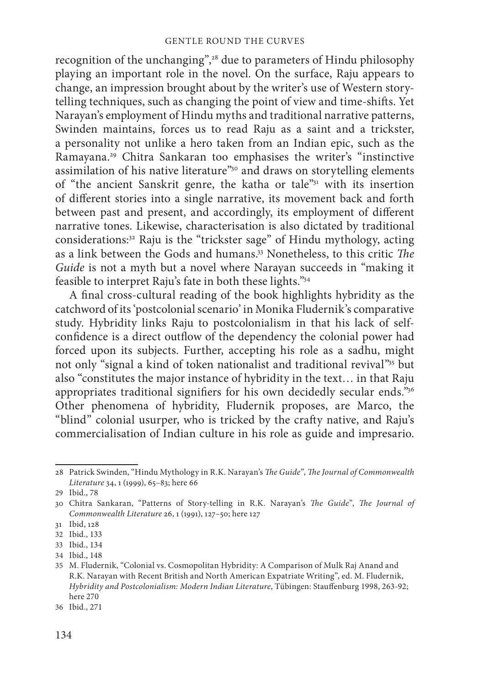recognition of the unchanging",28 due to parameters of Hindu philosophy playing an important role in the novel. On the surface, Raju appears to change, an impression brought about by the writer's use of Western storytelling techniques, such as changing the point of view and time-shifts. Yet Narayan's employment of Hindu myths and traditional narrative patterns, Swinden maintains, forces us to read Raju as a saint and a trickster, a personality not unlike a hero taken from an Indian epic, such as the Ramayana.29 Chitra Sankaran too emphasises the writer's "instinctive assimilation of his native literature"<sup>30</sup> and draws on storytelling elements of "the ancient Sanskrit genre, the katha or tale"31 with its insertion of different stories into a single narrative, its movement back and forth between past and present, and accordingly, its employment of different narrative tones. Likewise, characterisation is also dictated by traditional considerations:32 Raju is the "trickster sage" of Hindu mythology, acting as a link between the Gods and humans.<sup>33</sup> Nonetheless, to this critic *The Guide* is not a myth but a novel where Narayan succeeds in "making it feasible to interpret Raju's fate in both these lights."34

A final cross-cultural reading of the book highlights hybridity as the catchword of its 'postcolonial scenario' in Monika Fludernik's comparative study. Hybridity links Raju to postcolonialism in that his lack of selfconfidence is a direct outflow of the dependency the colonial power had forced upon its subjects. Further, accepting his role as a sadhu, might not only "signal a kind of token nationalist and traditional revival"35 but also "constitutes the major instance of hybridity in the text… in that Raju appropriates traditional signifiers for his own decidedly secular ends."36 Other phenomena of hybridity, Fludernik proposes, are Marco, the "blind" colonial usurper, who is tricked by the crafty native, and Raju's commercialisation of Indian culture in his role as guide and impresario.

<sup>28</sup> Patrick Swinden, "Hindu Mythology in R.K. Narayan's *The Guide"*, *The Journal of Commonwealth Literature* 34, 1 (1999), 65–83; here 66

<sup>29</sup> Ibid., 78

<sup>30</sup> Chitra Sankaran, "Patterns of Story-telling in R.K. Narayan's *The Guide"*, *The Journal of Commonwealth Literature* 26, 1 (1991), 127–50; here 127

<sup>31</sup> Ibid, 128

<sup>32</sup> Ibid., 133

<sup>33</sup> Ibid., 134

<sup>34</sup> Ibid., 148

<sup>35</sup> M. Fludernik, "Colonial vs. Cosmopolitan Hybridity: A Comparison of Mulk Raj Anand and R.K. Narayan with Recent British and North American Expatriate Writing", ed. M. Fludernik, *Hybridity and Postcolonialism: Modern Indian Literature*, Tübingen: Stauffenburg 1998, 263-92; here 270

<sup>36</sup> Ibid., 271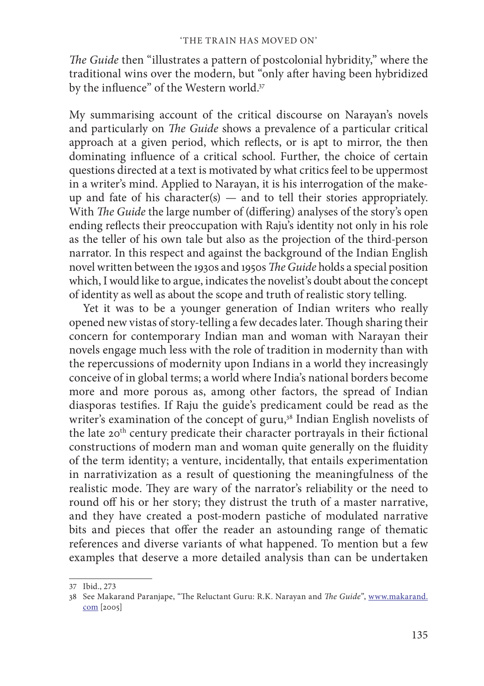*The Guide* then "illustrates a pattern of postcolonial hybridity," where the traditional wins over the modern, but "only after having been hybridized by the influence" of the Western world.<sup>37</sup>

My summarising account of the critical discourse on Narayan's novels and particularly on *The Guide* shows a prevalence of a particular critical approach at a given period, which reflects, or is apt to mirror, the then dominating influence of a critical school. Further, the choice of certain questions directed at a text is motivated by what critics feel to be uppermost in a writer's mind. Applied to Narayan, it is his interrogation of the makeup and fate of his character(s)  $-$  and to tell their stories appropriately. With *The Guide* the large number of (differing) analyses of the story's open ending reflects their preoccupation with Raju's identity not only in his role as the teller of his own tale but also as the projection of the third-person narrator. In this respect and against the background of the Indian English novel written between the 1930s and 1950s *The Guide* holds a special position which, I would like to argue, indicates the novelist's doubt about the concept of identity as well as about the scope and truth of realistic story telling.

Yet it was to be a younger generation of Indian writers who really opened new vistas of story-telling a few decades later. Though sharing their concern for contemporary Indian man and woman with Narayan their novels engage much less with the role of tradition in modernity than with the repercussions of modernity upon Indians in a world they increasingly conceive of in global terms; a world where India's national borders become more and more porous as, among other factors, the spread of Indian diasporas testifies. If Raju the guide's predicament could be read as the writer's examination of the concept of guru,<sup>38</sup> Indian English novelists of the late 20<sup>th</sup> century predicate their character portrayals in their fictional constructions of modern man and woman quite generally on the fluidity of the term identity; a venture, incidentally, that entails experimentation in narrativization as a result of questioning the meaningfulness of the realistic mode. They are wary of the narrator's reliability or the need to round off his or her story; they distrust the truth of a master narrative, and they have created a post-modern pastiche of modulated narrative bits and pieces that offer the reader an astounding range of thematic references and diverse variants of what happened. To mention but a few examples that deserve a more detailed analysis than can be undertaken

<sup>37</sup> Ibid., 273

<sup>38</sup> See Makarand Paranjape, "The Reluctant Guru: R.K. Narayan and *The Guide"*, www.makarand. com [2005]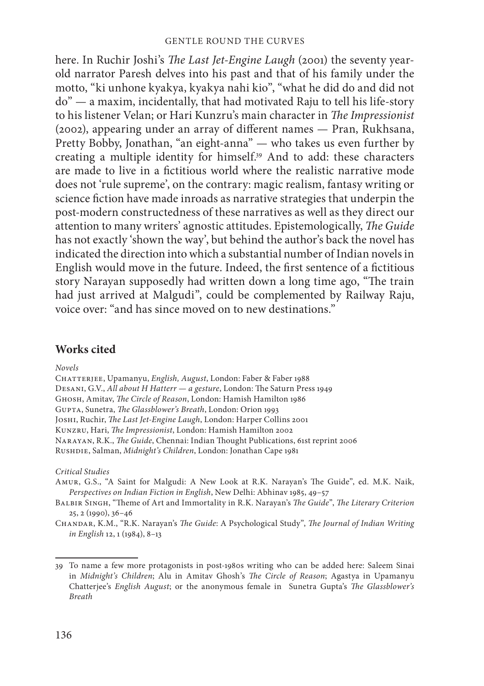here. In Ruchir Joshi's *The Last Jet-Engine Laugh* (2001) the seventy yearold narrator Paresh delves into his past and that of his family under the motto, "ki unhone kyakya, kyakya nahi kio", "what he did do and did not do" — a maxim, incidentally, that had motivated Raju to tell his life-story to his listener Velan; or Hari Kunzru's main character in *The Impressionist*  $(2002)$ , appearing under an array of different names  $-$  Pran, Rukhsana, Pretty Bobby, Jonathan, "an eight-anna" — who takes us even further by creating a multiple identity for himself.39 And to add: these characters are made to live in a fictitious world where the realistic narrative mode does not 'rule supreme', on the contrary: magic realism, fantasy writing or science fiction have made inroads as narrative strategies that underpin the post-modern constructedness of these narratives as well as they direct our attention to many writers' agnostic attitudes. Epistemologically, *The Guide* has not exactly 'shown the way', but behind the author's back the novel has indicated the direction into which a substantial number of Indian novels in English would move in the future. Indeed, the first sentence of a fictitious story Narayan supposedly had written down a long time ago, "The train had just arrived at Malgudi", could be complemented by Railway Raju, voice over: "and has since moved on to new destinations."

## **Works cited**

*Novels*

Chatterjee, Upamanyu, *English, August*, London: Faber & Faber 1988 DESANI, G.V., All about H Hatterr - a gesture, London: The Saturn Press 1949 GHOSH, Amitav, *The Circle of Reason*, London: Hamish Hamilton 1986 GUPTA, Sunetra, *The Glassblower's Breath*, London: Orion 1993 JOSHI, Ruchir, *The Last Jet-Engine Laugh*, London: Harper Collins 2001 KUNZRU, Hari, *The Impressionist*, London: Hamish Hamilton 2002 NARAYAN, R.K., *The Guide*, Chennai: Indian Thought Publications, 61st reprint 2006 Rushdie, Salman, *Midnight's Children*, London: Jonathan Cape 1981

*Critical Studies*

- AMUR, G.S., "A Saint for Malgudi: A New Look at R.K. Narayan's The Guide", ed. M.K. Naik, *Perspectives on Indian Fiction in English*, New Delhi: Abhinav 1985, 49–57
- BALBIR SINGH, "Theme of Art and Immortality in R.K. Narayan's *The Guide"*, *The Literary Criterion* 25, 2 (1990), 36–46
- CHANDAR, K.M., "R.K. Narayan's *The Guide*: A Psychological Study", *The Journal of Indian Writing in English* 12, 1 (1984), 8–13

<sup>39</sup> To name a few more protagonists in post-1980s writing who can be added here: Saleem Sinai in *Midnight's Children*; Alu in Amitav Ghosh's *The Circle of Reason*; Agastya in Upamanyu Chatterjee's *English August*; or the anonymous female in Sunetra Gupta's *The Glassblower's Breath*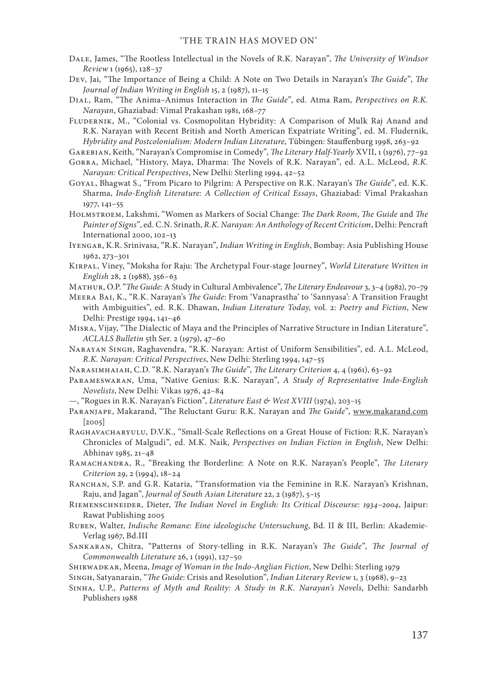- DALE, James, "The Rootless Intellectual in the Novels of R.K. Narayan", *The University of Windsor Review* 1 (1965), 128–37
- Dev, Jai, "The Importance of Being a Child: A Note on Two Details in Narayan's *The Guide*", *The Journal of Indian Writing in English* 15, 2 (1987), 11–15
- DIAL, Ram, "The Anima-Animus Interaction in *The Guide"*, ed. Atma Ram, *Perspectives on R.K. Narayan*, Ghaziabad: Vimal Prakashan 1981, 168–77
- Fludernik, M., "Colonial vs. Cosmopolitan Hybridity: A Comparison of Mulk Raj Anand and R.K. Narayan with Recent British and North American Expatriate Writing", ed. M. Fludernik, *Hybridity and Postcolonialism: Modern Indian Literature*, Tübingen: Stauffenburg 1998, 263-92

GAREBIAN, Keith, "Narayan's Compromise in Comedy", *The Literary Half-Yearly* XVII, 1 (1976), 77-92

- GORRA, Michael, "History, Maya, Dharma: The Novels of R.K. Narayan", ed. A.L. McLeod, R.K. *Narayan: Critical Perspectives*, New Delhi: Sterling 1994, 42–52
- GOYAL, Bhagwat S., "From Picaro to Pilgrim: A Perspective on R.K. Narayan's *The Guide*", ed. K.K. Sharma, *Indo-English Literature: A Collection of Critical Essays*, Ghaziabad: Vimal Prakashan 1977, 141–55
- HOLMSTROEM, Lakshmi, "Women as Markers of Social Change: *The Dark Room*, *The Guide* and *The Painter of Signs*", ed. C.N. Srinath, *R.K. Narayan: An Anthology of Recent Criticism*, Delhi: Pencraft International 2000, 102–13
- Iyengar, K.R. Srinivasa, "R.K. Narayan", *Indian Writing in English*, Bombay: Asia Publishing House 1962, 273–301
- KIRPAL, Viney, "Moksha for Raju: The Archetypal Four-stage Journey", *World Literature Written in English* 28, 2 (1988), 356–63
- MATHUR, O.P. "*The Guide*: A Study in Cultural Ambivalence", *The Literary Endeavour* 3, 3–4 (1982), 70–79
- MEERA BAI, K., "R.K. Narayan's *The Guide*: From 'Vanaprastha' to 'Sannyasa': A Transition Fraught with Ambiguities", ed. R.K. Dhawan, *Indian Literature Today,* vol. 2: *Poetry and Fiction*, New Delhi: Prestige 1994, 141–46
- MISRA, Vijay, "The Dialectic of Maya and the Principles of Narrative Structure in Indian Literature", *ACLALS Bulletin* 5th Ser. 2 (1979), 47–60
- Narayan Singh, Raghavendra, "R.K. Narayan: Artist of Uniform Sensibilities", ed. A.L. McLeod, *R.K. Narayan: Critical Perspectives*, New Delhi: Sterling 1994, 147–55
- NARASIMHAIAH, C.D. "R.K. Narayan's *The Guide"*, *The Literary Criterion* 4, 4 (1961), 63–92
- Parameswaran, Uma, "Native Genius: R.K. Narayan", *A Study of Representative Indo-English Novelists*, New Delhi: Vikas 1976, 42–84
- —, "Rogues in R.K. Narayan's Fiction", *Literature East & West XVIII* (1974), 203–15
- PARANJAPE, Makarand, "The Reluctant Guru: R.K. Narayan and *The Guide*", www.makarand.com [2005]
- RAGHAVACHARYULU, D.V.K., "Small-Scale Reflections on a Great House of Fiction: R.K. Narayan's Chronicles of Malgudi", ed. M.K. Naik, *Perspectives on Indian Fiction in English*, New Delhi: Abhinav 1985, 21–48
- RAMACHANDRA, R., "Breaking the Borderline: A Note on R.K. Narayan's People", *The Literary Criterion* 29, 2 (1994), 18–24
- RANCHAN, S.P. and G.R. Kataria, "Transformation via the Feminine in R.K. Narayan's Krishnan, Raju, and Jagan", *Journal of South Asian Literature* 22, 2 (1987), 5–15
- RIEMENSCHNEIDER, Dieter, *The Indian Novel in English: Its Critical Discourse: 1934-2004*, Jaipur: Rawat Publishing 2005
- Ruben, Walter, *Indische Romane: Eine ideologische Untersuchung*, Bd. II & III, Berlin: Akademie-Verlag 1967, Bd.III
- SANKARAN, Chitra, "Patterns of Story-telling in R.K. Narayan's *The Guide"*, *The Journal of Commonwealth Literature* 26, 1 (1991), 127–50
- Shirwadkar, Meena, *Image of Woman in the Indo-Anglian Fiction*, New Delhi: Sterling 1979

SINGH, Satyanarain, "*The Guide: Crisis and Resolution", Indian Literary Review* 1, 3 (1968), 9-23

Sinha, U.P., *Patterns of Myth and Reality: A Study in R.K. Narayan's Novels*, Delhi: Sandarbh Publishers 1988